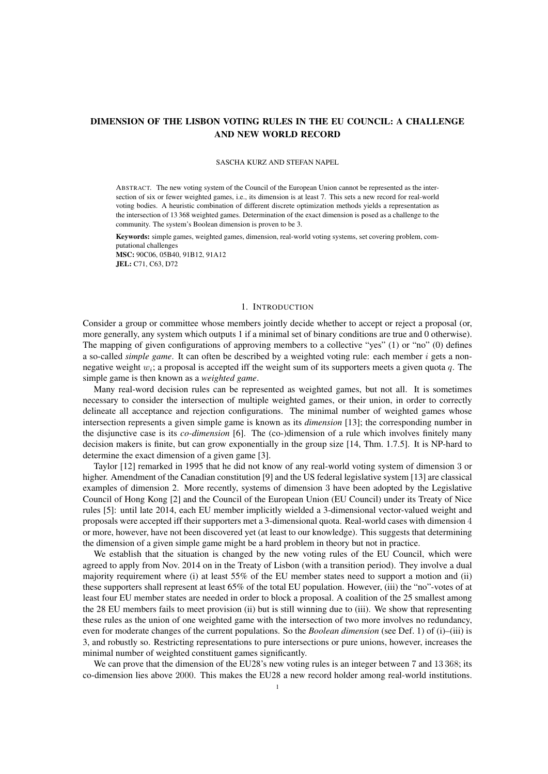# DIMENSION OF THE LISBON VOTING RULES IN THE EU COUNCIL: A CHALLENGE AND NEW WORLD RECORD

#### SASCHA KURZ AND STEFAN NAPEL

ABSTRACT. The new voting system of the Council of the European Union cannot be represented as the intersection of six or fewer weighted games, i.e., its dimension is at least 7. This sets a new record for real-world voting bodies. A heuristic combination of different discrete optimization methods yields a representation as the intersection of 13 368 weighted games. Determination of the exact dimension is posed as a challenge to the community. The system's Boolean dimension is proven to be 3.

Keywords: simple games, weighted games, dimension, real-world voting systems, set covering problem, computational challenges MSC: 90C06, 05B40, 91B12, 91A12 JEL: C71, C63, D72

### 1. INTRODUCTION

Consider a group or committee whose members jointly decide whether to accept or reject a proposal (or, more generally, any system which outputs 1 if a minimal set of binary conditions are true and 0 otherwise). The mapping of given configurations of approving members to a collective "yes" (1) or "no" (0) defines a so-called *simple game*. It can often be described by a weighted voting rule: each member i gets a nonnegative weight  $w_i$ ; a proposal is accepted iff the weight sum of its supporters meets a given quota  $q$ . The simple game is then known as a *weighted game*.

Many real-word decision rules can be represented as weighted games, but not all. It is sometimes necessary to consider the intersection of multiple weighted games, or their union, in order to correctly delineate all acceptance and rejection configurations. The minimal number of weighted games whose intersection represents a given simple game is known as its *dimension* [13]; the corresponding number in the disjunctive case is its *co-dimension* [6]. The (co-)dimension of a rule which involves finitely many decision makers is finite, but can grow exponentially in the group size [14, Thm. 1.7.5]. It is NP-hard to determine the exact dimension of a given game [3].

Taylor [12] remarked in 1995 that he did not know of any real-world voting system of dimension 3 or higher. Amendment of the Canadian constitution [9] and the US federal legislative system [13] are classical examples of dimension 2. More recently, systems of dimension 3 have been adopted by the Legislative Council of Hong Kong [2] and the Council of the European Union (EU Council) under its Treaty of Nice rules [5]: until late 2014, each EU member implicitly wielded a 3-dimensional vector-valued weight and proposals were accepted iff their supporters met a 3-dimensional quota. Real-world cases with dimension 4 or more, however, have not been discovered yet (at least to our knowledge). This suggests that determining the dimension of a given simple game might be a hard problem in theory but not in practice.

We establish that the situation is changed by the new voting rules of the EU Council, which were agreed to apply from Nov. 2014 on in the Treaty of Lisbon (with a transition period). They involve a dual majority requirement where (i) at least 55% of the EU member states need to support a motion and (ii) these supporters shall represent at least 65% of the total EU population. However, (iii) the "no"-votes of at least four EU member states are needed in order to block a proposal. A coalition of the 25 smallest among the 28 EU members fails to meet provision (ii) but is still winning due to (iii). We show that representing these rules as the union of one weighted game with the intersection of two more involves no redundancy, even for moderate changes of the current populations. So the *Boolean dimension* (see Def. 1) of (i)–(iii) is 3, and robustly so. Restricting representations to pure intersections or pure unions, however, increases the minimal number of weighted constituent games significantly.

We can prove that the dimension of the EU28's new voting rules is an integer between 7 and 13 368; its co-dimension lies above 2000. This makes the EU28 a new record holder among real-world institutions.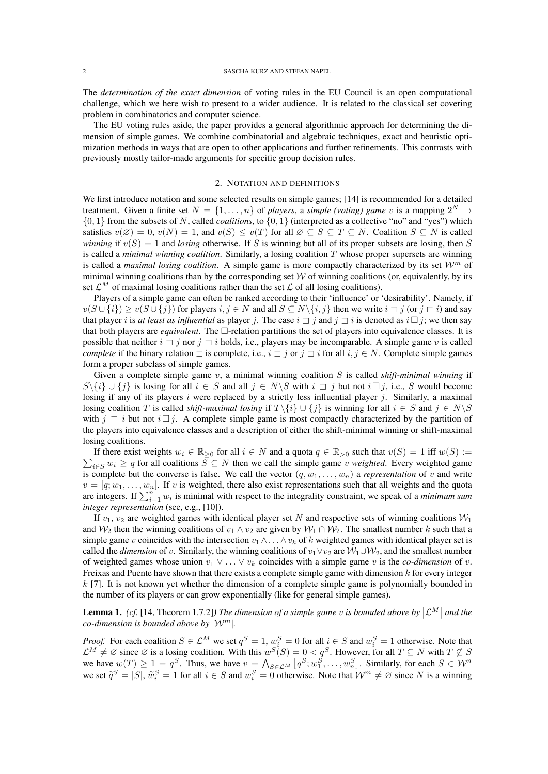The *determination of the exact dimension* of voting rules in the EU Council is an open computational challenge, which we here wish to present to a wider audience. It is related to the classical set covering problem in combinatorics and computer science.

The EU voting rules aside, the paper provides a general algorithmic approach for determining the dimension of simple games. We combine combinatorial and algebraic techniques, exact and heuristic optimization methods in ways that are open to other applications and further refinements. This contrasts with previously mostly tailor-made arguments for specific group decision rules.

### 2. NOTATION AND DEFINITIONS

We first introduce notation and some selected results on simple games; [14] is recommended for a detailed treatment. Given a finite set  $N = \{1, \ldots, n\}$  of *players*, a *simple (voting) game* v is a mapping  $2^N \rightarrow$ {0, 1} from the subsets of N, called *coalitions*, to {0, 1} (interpreted as a collective "no" and "yes") which satisfies  $v(\emptyset) = 0$ ,  $v(N) = 1$ , and  $v(S) \le v(T)$  for all  $\emptyset \subseteq S \subseteq T \subseteq N$ . Coalition  $S \subseteq N$  is called *winning* if  $v(S) = 1$  and *losing* otherwise. If S is winning but all of its proper subsets are losing, then S is called a *minimal winning coalition*. Similarly, a losing coalition T whose proper supersets are winning is called a *maximal losing coalition*. A simple game is more compactly characterized by its set  $\mathcal{W}^m$  of minimal winning coalitions than by the corresponding set  $W$  of winning coalitions (or, equivalently, by its set  $\mathcal{L}^M$  of maximal losing coalitions rather than the set  $\mathcal L$  of all losing coalitions).

Players of a simple game can often be ranked according to their 'influence' or 'desirability'. Namely, if  $v(S \cup \{i\}) \ge v(S \cup \{j\})$  for players  $i, j \in N$  and all  $S \subseteq N \setminus \{i, j\}$  then we write  $i \sqsupset j$  (or  $j \sqsubset i$ ) and say that player i is *at least as influential* as player j. The case  $i \rceil j$  and  $j \rceil i$  is denoted as  $i \rceil j$ ; we then say that both players are *equivalent*. The  $\Box$ -relation partitions the set of players into equivalence classes. It is possible that neither  $i \sqsupset j$  nor  $j \sqsupset i$  holds, i.e., players may be incomparable. A simple game v is called *complete* if the binary relation  $\exists$  is complete, i.e.,  $i \exists j$  or  $j \exists i$  for all  $i, j \in N$ . Complete simple games form a proper subclass of simple games.

Given a complete simple game v, a minimal winning coalition S is called *shift-minimal winning* if  $S\backslash\{i\} \cup \{j\}$  is losing for all  $i \in S$  and all  $j \in N\backslash S$  with  $i \sqsupset j$  but not  $i \sqsupset j$ , i.e., S would become losing if any of its players  $i$  were replaced by a strictly less influential player  $j$ . Similarly, a maximal losing coalition T is called *shift-maximal losing* if  $T\{i\} \cup \{j\}$  is winning for all  $i \in S$  and  $j \in N\$ with  $j \rightharpoonup i$  but not  $i \rightharpoonup j$ . A complete simple game is most compactly characterized by the partition of the players into equivalence classes and a description of either the shift-minimal winning or shift-maximal losing coalitions.

 $\sum_{i \in S} w_i \ge q$  for all coalitions  $S \subseteq N$  then we call the simple game v *weighted*. Every weighted game If there exist weights  $w_i \in \mathbb{R}_{\geq 0}$  for all  $i \in N$  and a quota  $q \in \mathbb{R}_{> 0}$  such that  $v(S) = 1$  iff  $w(S) :=$ is complete but the converse is false. We call the vector  $(q, w_1, \ldots, w_n)$  a *representation* of v and write  $v = [q; w_1, \dots, w_n]$ . If v is weighted, there also exist representations such that all weights and the quota are integers. If  $\sum_{i=1}^{n} w_i$  is minimal with respect to the integrality constraint, we speak of a *minimum sum integer representation* (see, e.g., [10]).

If  $v_1$ ,  $v_2$  are weighted games with identical player set N and respective sets of winning coalitions  $W_1$ and  $W_2$  then the winning coalitions of  $v_1 \wedge v_2$  are given by  $W_1 \cap W_2$ . The smallest number k such that a simple game v coincides with the intersection  $v_1 \wedge \ldots \wedge v_k$  of k weighted games with identical player set is called the *dimension* of v. Similarly, the winning coalitions of  $v_1 \vee v_2$  are  $W_1 \cup W_2$ , and the smallest number of weighted games whose union  $v_1 \vee \ldots \vee v_k$  coincides with a simple game v is the *co-dimension* of v. Freixas and Puente have shown that there exists a complete simple game with dimension  $k$  for every integer  $k$  [7]. It is not known yet whether the dimension of a complete simple game is polynomially bounded in the number of its players or can grow exponentially (like for general simple games).

**Lemma 1.** *(cf.* [14, Theorem 1.7.2]*) The dimension of a simple game v is bounded above by*  $|\mathcal{L}^M|$  *and the co-dimension is bounded above by* |W<sup>m</sup>|*.*

*Proof.* For each coalition  $S \in \mathcal{L}^M$  we set  $q^S = 1$ ,  $w_i^S = 0$  for all  $i \in S$  and  $w_i^S = 1$  otherwise. Note that  $\mathcal{L}^M \neq \emptyset$  since  $\emptyset$  is a losing coalition. With this  $w^S(S) = 0 < q^S$ . However, for all  $T \subseteq N$  with  $T \nsubseteq S$ we have  $w(T) \ge 1 = q^S$ . Thus, we have  $v = \bigwedge_{S \in \mathcal{L}^M} [q^S; w_1^S, \dots, w_n^S]$ . Similarly, for each  $S \in \mathcal{W}^n$ we set  $\tilde{q}^S = |S|$ ,  $\tilde{w}_i^S = 1$  for all  $i \in S$  and  $w_i^S = 0$  otherwise. Note that  $\mathcal{W}^m \neq \emptyset$  since N is a winning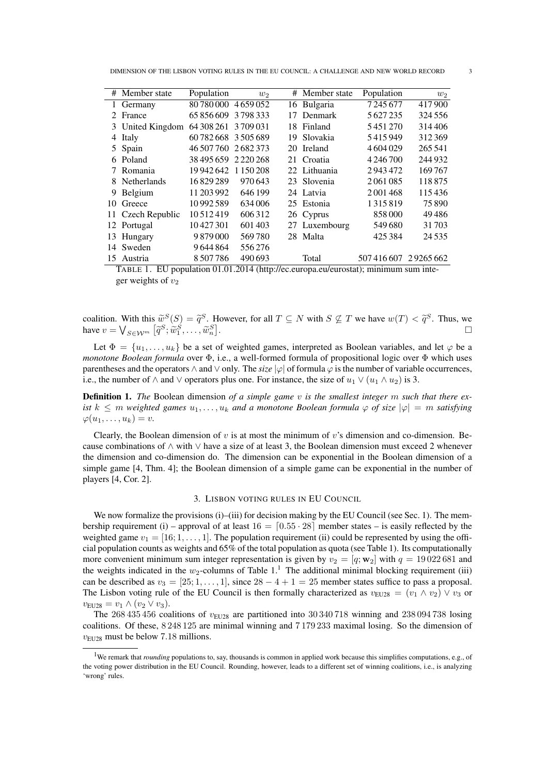DIMENSION OF THE LISBON VOTING RULES IN THE EU COUNCIL: A CHALLENGE AND NEW WORLD RECORD 3

|                             | # Member state    | Population           | $w_2$   | #   | Member state  | Population    | $w_2$    |
|-----------------------------|-------------------|----------------------|---------|-----|---------------|---------------|----------|
| 1                           | Germany           | 80 780 000           | 4659052 | 16  | Bulgaria      | 7245677       | 417900   |
| $\mathcal{D}_{\mathcal{L}}$ | France            | 65 856 609 3 798 333 |         | 17  | Denmark       | 5627235       | 324 556  |
|                             | 3 United Kingdom  | 64 308 261 3 709 031 |         | 18. | Finland       | 5451270       | 314406   |
| 4                           | Italy             | 60782668 3505689     |         | 19  | Slovakia      | 5415949       | 312369   |
|                             | 5 Spain           | 46 507 760           | 2682373 | 20  | Ireland       | 4604029       | 265 541  |
| 6.                          | Poland            | 38 495 659 2 220 268 |         | 21  | Croatia       | 4 2 4 6 7 0 0 | 244932   |
|                             | 7 Romania         | 19942642 1150208     |         |     | 22 Lithuania  | 2943472       | 169767   |
|                             | 8 Netherlands     | 16829289             | 970643  |     | 23 Slovenia   | 2061085       | 118875   |
| 9                           | Belgium           | 11 203 992           | 646 199 |     | 24 Latvia     | 2001468       | 115436   |
| 10                          | Greece            | 10992589             | 634006  |     | 25 Estonia    | 1315819       | 75890    |
|                             | 11 Czech Republic | 10512419             | 606312  |     | 26 Cyprus     | 858000        | 49486    |
|                             | 12 Portugal       | 10427301             | 601403  |     | 27 Luxembourg | 549680        | 31703    |
| 13                          | Hungary           | 9879000              | 569780  | 28  | Malta         | 425 384       | 24535    |
| 14                          | Sweden            | 9644864              | 556276  |     |               |               |          |
| 15                          | Austria           | 8507786              | 490693  |     | Total         | 507416607     | 29265662 |
|                             |                   |                      |         |     |               |               |          |

TABLE 1. EU population 01.01.2014 (http://ec.europa.eu/eurostat); minimum sum integer weights of  $v_2$ 

coalition. With this  $\widetilde{w}^S(S) = \widetilde{q}^S$ . However, for all  $T \subseteq N$  with  $S \nsubseteq T$  we have  $w(T) < \widetilde{q}^S$ . Thus, we have  $w(T) < \widetilde{q}^S$ . have  $v = \bigvee_{S \in \mathcal{W}^m} [\tilde{q}^S; \tilde{w}_1^S, \dots, \tilde{w}_n^S].$ 

Let  $\Phi = \{u_1, \ldots, u_k\}$  be a set of weighted games, interpreted as Boolean variables, and let  $\varphi$  be a *monotone Boolean formula* over Φ, i.e., a well-formed formula of propositional logic over Φ which uses parentheses and the operators  $\land$  and  $\lor$  only. The *size*  $|\varphi|$  of formula  $\varphi$  is the number of variable occurrences, i.e., the number of  $\wedge$  and  $\vee$  operators plus one. For instance, the size of  $u_1 \vee (u_1 \wedge u_2)$  is 3.

Definition 1. *The* Boolean dimension *of a simple game* v *is the smallest integer* m *such that there exist*  $k \leq m$  *weighted games*  $u_1, \ldots, u_k$  *and a monotone Boolean formula*  $\varphi$  *of size*  $|\varphi| = m$  *satisfying*  $\varphi(u_1, \ldots, u_k) = v.$ 

Clearly, the Boolean dimension of  $v$  is at most the minimum of  $v$ 's dimension and co-dimension. Because combinations of ∧ with ∨ have a size of at least 3, the Boolean dimension must exceed 2 whenever the dimension and co-dimension do. The dimension can be exponential in the Boolean dimension of a simple game [4, Thm. 4]; the Boolean dimension of a simple game can be exponential in the number of players [4, Cor. 2].

## 3. LISBON VOTING RULES IN EU COUNCIL

We now formalize the provisions (i)–(iii) for decision making by the EU Council (see Sec. 1). The membership requirement (i) – approval of at least  $16 = \lfloor 0.55 \cdot 28 \rfloor$  member states – is easily reflected by the weighted game  $v_1 = [16; 1, \ldots, 1]$ . The population requirement (ii) could be represented by using the official population counts as weights and 65% of the total population as quota (see Table 1). Its computationally more convenient minimum sum integer representation is given by  $v_2 = [q; w_2]$  with  $q = 19022681$  and the weights indicated in the  $w_2$ -columns of Table 1.<sup>1</sup> The additional minimal blocking requirement (iii) can be described as  $v_3 = [25; 1, \ldots, 1]$ , since  $28 - 4 + 1 = 25$  member states suffice to pass a proposal. The Lisbon voting rule of the EU Council is then formally characterized as  $v_{EU28} = (v_1 \wedge v_2) \vee v_3$  or  $v_{\text{EU28}} = v_1 \wedge (v_2 \vee v_3).$ 

The 268 435 456 coalitions of  $v_{EU28}$  are partitioned into 30 340 718 winning and 238 094 738 losing coalitions. Of these, 8 248 125 are minimal winning and 7 179 233 maximal losing. So the dimension of  $v_{EU28}$  must be below 7.18 millions.

<sup>1</sup>We remark that *rounding* populations to, say, thousands is common in applied work because this simplifies computations, e.g., of the voting power distribution in the EU Council. Rounding, however, leads to a different set of winning coalitions, i.e., is analyzing 'wrong' rules.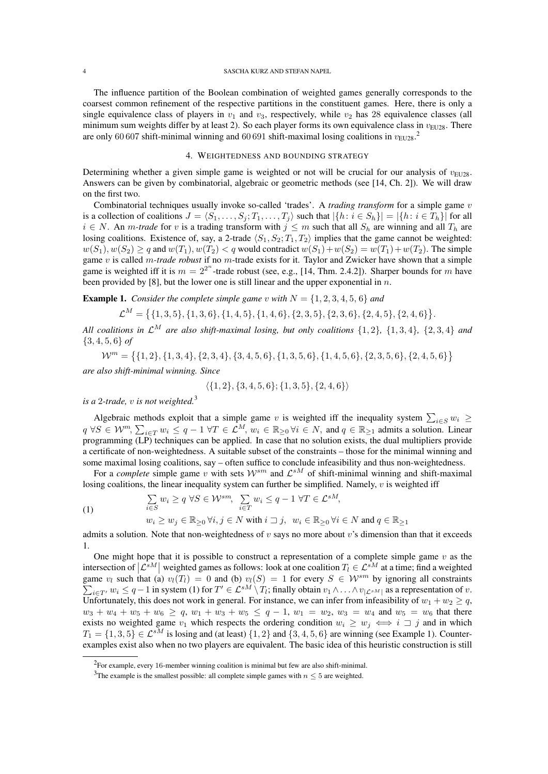The influence partition of the Boolean combination of weighted games generally corresponds to the coarsest common refinement of the respective partitions in the constituent games. Here, there is only a single equivalence class of players in  $v_1$  and  $v_3$ , respectively, while  $v_2$  has 28 equivalence classes (all minimum sum weights differ by at least 2). So each player forms its own equivalence class in  $v_{EU28}$ . There are only 60 607 shift-minimal winning and 60 691 shift-maximal losing coalitions in  $v_{EU28}$ .<sup>2</sup>

## 4. WEIGHTEDNESS AND BOUNDING STRATEGY

Determining whether a given simple game is weighted or not will be crucial for our analysis of  $v_{\text{EUP8}}$ . Answers can be given by combinatorial, algebraic or geometric methods (see [14, Ch. 2]). We will draw on the first two.

Combinatorial techniques usually invoke so-called 'trades'. A *trading transform* for a simple game v is a collection of coalitions  $J = \langle S_1, \ldots, S_j; T_1, \ldots, T_j \rangle$  such that  $|\{h : i \in S_h\}| = |\{h : i \in T_h\}|$  for all  $i \in N$ . An *m-trade* for v is a trading transform with  $j \leq m$  such that all  $S_h$  are winning and all  $T_h$  are losing coalitions. Existence of, say, a 2-trade  $\langle S_1, S_2; T_1, T_2 \rangle$  implies that the game cannot be weighted:  $w(S_1), w(S_2) \ge q$  and  $w(T_1), w(T_2) < q$  would contradict  $w(S_1) + w(S_2) = w(T_1) + w(T_2)$ . The simple game v is called m*-trade robust* if no m-trade exists for it. Taylor and Zwicker have shown that a simple game is weighted iff it is  $m = 2^{2^n}$ -trade robust (see, e.g., [14, Thm. 2.4.2]). Sharper bounds for m have been provided by [8], but the lower one is still linear and the upper exponential in  $n$ .

**Example 1.** *Consider the complete simple game* v *with*  $N = \{1, 2, 3, 4, 5, 6\}$  *and* 

 $\mathcal{L}^M = \{ \{1,3,5\}, \{1,3,6\}, \{1,4,5\}, \{1,4,6\}, \{2,3,5\}, \{2,3,6\}, \{2,4,5\}, \{2,4,6\} \}.$ 

*All coalitions in*  $\mathcal{L}^M$  *are also shift-maximal losing, but only coalitions*  $\{1, 2\}$ ,  $\{1, 3, 4\}$ ,  $\{2, 3, 4\}$  *and* {3, 4, 5, 6} *of*

 $\mathcal{W}^m = \{\{1,2\}, \{1,3,4\}, \{2,3,4\}, \{3,4,5,6\}, \{1,3,5,6\}, \{1,4,5,6\}, \{2,3,5,6\}, \{2,4,5,6\}\}\$ *are also shift-minimal winning. Since*

$$
\langle \{1,2\}, \{3,4,5,6\}; \{1,3,5\}, \{2,4,6\} \rangle
$$

*is a* 2*-trade,* v *is not weighted.*<sup>3</sup>

Algebraic methods exploit that a simple game v is weighted iff the inequality system  $\sum_{i \in S} w_i \geq$  $q \forall S \in \mathcal{W}^m$ ,  $\sum_{i \in T} w_i \leq q - 1 \ \forall T \in \mathcal{L}^M$ ,  $w_i \in \mathbb{R}_{\geq 0} \ \forall i \in N$ , and  $q \in \mathbb{R}_{\geq 1}$  admits a solution. Linear programming (LP) techniques can be applied. In case that no solution exists, the dual multipliers provide a certificate of non-weightedness. A suitable subset of the constraints – those for the minimal winning and some maximal losing coalitions, say – often suffice to conclude infeasibility and thus non-weightedness.

For a *complete* simple game v with sets  $W^{sm}$  and  $\mathcal{L}^{sM}$  of shift-minimal winning and shift-maximal losing coalitions, the linear inequality system can further be simplified. Namely,  $v$  is weighted iff

(1) 
$$
\sum_{i \in S} w_i \ge q \ \forall S \in \mathcal{W}^{sm}, \sum_{i \in T} w_i \le q - 1 \ \forall T \in \mathcal{L}^{sM},
$$

$$
w_i \ge w_j \in \mathbb{R}_{\ge 0} \ \forall i, j \in N \ \text{with} \ i \sqsupset j, \ w_i \in \mathbb{R}_{\ge 0} \ \forall i \in N \ \text{and} \ q \in \mathbb{R}_{\ge 1}
$$

admits a solution. Note that non-weightedness of  $v$  says no more about  $v$ 's dimension than that it exceeds 1.

One might hope that it is possible to construct a representation of a complete simple game  $v$  as the intersection of  $|\mathcal{L}^{sM}|$  weighted games as follows: look at one coalition  $T_l \in \mathcal{L}^{sM}$  at a time; find a weighted game  $v_l$  such that (a)  $v_l(T_l) = 0$  and (b)  $v_l(S) = 1$  for every  $S \in \mathcal{W}^{sm}$ P by ignoring all constraints  $i \in T'$ ,  $w_i \leq q-1$  in system (1) for  $T' \in \mathcal{L}^{sM} \setminus T_l$ ; finally obtain  $v_1 \wedge \ldots \wedge v_{|\mathcal{L}^{sM}|}$  as a representation of  $v$ . Unfortunately, this does not work in general. For instance, we can infer from infeasibility of  $w_1 + w_2 \geq q$ ,  $w_3 + w_4 + w_5 + w_6 \ge q$ ,  $w_1 + w_3 + w_5 \le q - 1$ ,  $w_1 = w_2$ ,  $w_3 = w_4$  and  $w_5 = w_6$  that there exists no weighted game  $v_1$  which respects the ordering condition  $w_i \geq w_j \iff i \supset j$  and in which  $T_1 = \{1, 3, 5\} \in \mathcal{L}^{sM}$  is losing and (at least)  $\{1, 2\}$  and  $\{3, 4, 5, 6\}$  are winning (see Example 1). Counterexamples exist also when no two players are equivalent. The basic idea of this heuristic construction is still

<sup>2</sup>For example, every 16-member winning coalition is minimal but few are also shift-minimal.

<sup>&</sup>lt;sup>3</sup>The example is the smallest possible: all complete simple games with  $n \leq 5$  are weighted.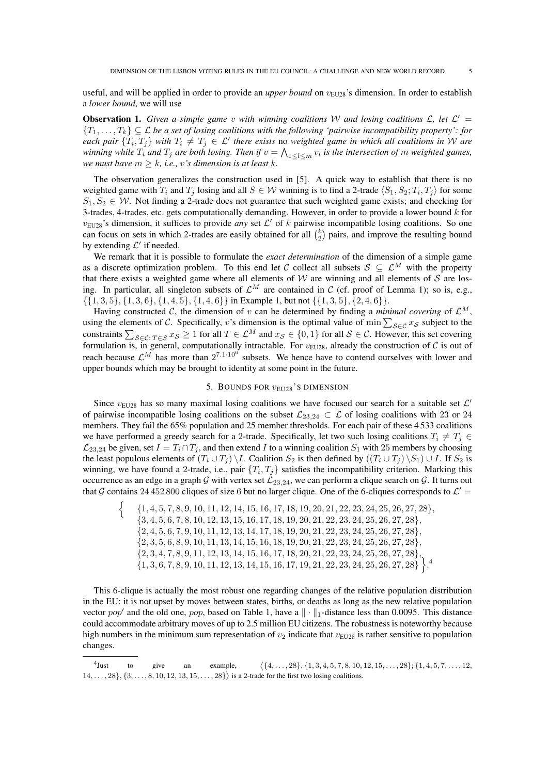useful, and will be applied in order to provide an *upper bound* on  $v_{EU28}$ 's dimension. In order to establish a *lower bound*, we will use

**Observation 1.** Given a simple game v with winning coalitions W and losing coalitions  $\mathcal{L}$ , let  $\mathcal{L}'$  =  $\{T_1,\ldots,T_k\}\subseteq \mathcal{L}$  *be a set of losing coalitions with the following 'pairwise incompatibility property': for each pair*  $\{T_i, T_j\}$  *with*  $T_i \neq T_j \in \mathcal{L}'$  there exists no *weighted game in which all coalitions in* W *are* winning while  $T_i$  and  $T_j$  are both losing. Then if  $v = \bigwedge_{1 \leq l \leq m} v_l$  is the intersection of  $m$  weighted games, *we must have*  $m \geq k$ *, i.e., v's dimension is at least k.* 

The observation generalizes the construction used in [5]. A quick way to establish that there is no weighted game with  $T_i$  and  $T_j$  losing and all  $S \in \mathcal{W}$  winning is to find a 2-trade  $\langle S_1, S_2; T_i, T_j \rangle$  for some  $S_1, S_2 \in \mathcal{W}$ . Not finding a 2-trade does not guarantee that such weighted game exists; and checking for 3-trades, 4-trades, etc. gets computationally demanding. However, in order to provide a lower bound  $k$  for  $v_{EU28}$ 's dimension, it suffices to provide *any* set  $\mathcal{L}'$  of k pairwise incompatible losing coalitions. So one can focus on sets in which 2-trades are easily obtained for all  $\binom{k}{2}$  pairs, and improve the resulting bound by extending  $\mathcal{L}'$  if needed.

We remark that it is possible to formulate the *exact determination* of the dimension of a simple game as a discrete optimization problem. To this end let C collect all subsets  $S \subseteq \mathcal{L}^M$  with the property that there exists a weighted game where all elements of  $W$  are winning and all elements of  $S$  are losing. In particular, all singleton subsets of  $\mathcal{L}^M$  are contained in C (cf. proof of Lemma 1); so is, e.g.,  $\{ \{1, 3, 5\}, \{1, 3, 6\}, \{1, 4, 5\}, \{1, 4, 6\} \}$  in Example 1, but not  $\{\{1, 3, 5\}, \{2, 4, 6\} \}.$ 

Having constructed C, the dimension of v can be determined by finding a *minimal covering* of  $\mathcal{L}^M$ , using the elements of C. Specifically, v's dimension is the optimal value of min  $\sum_{S \in \mathcal{C}} x_S$  subject to the constraints  $\sum_{\mathcal{S} \in \mathcal{C}: T \in \mathcal{S}} x_{\mathcal{S}} \ge 1$  for all  $T \in \mathcal{L}^M$  and  $x_{\mathcal{S}} \in \{0, 1\}$  for all  $\mathcal{S} \in \mathcal{C}$ . However, this set covering formulation is, in general, computationally intractable. For  $v_{EU28}$ , already the construction of C is out of reach because  $\mathcal{L}^M$  has more than  $2^{7.1 \cdot 10^6}$  subsets. We hence have to contend ourselves with lower and upper bounds which may be brought to identity at some point in the future.

### 5. BOUNDS FOR  $v_{EU28}$ 's DIMENSION

Since  $v_{EU28}$  has so many maximal losing coalitions we have focused our search for a suitable set  $\mathcal{L}'$ of pairwise incompatible losing coalitions on the subset  $\mathcal{L}_{23,24} \subset \mathcal{L}$  of losing coalitions with 23 or 24 members. They fail the 65% population and 25 member thresholds. For each pair of these 4 533 coalitions we have performed a greedy search for a 2-trade. Specifically, let two such losing coalitions  $T_i \neq T_j \in$  $\mathcal{L}_{23,24}$  be given, set  $I = T_i \cap T_j$ , and then extend I to a winning coalition  $S_1$  with 25 members by choosing the least populous elements of  $(T_i \cup T_j) \setminus I$ . Coalition  $S_2$  is then defined by  $((T_i \cup T_j) \setminus S_1) \cup I$ . If  $S_2$  is winning, we have found a 2-trade, i.e., pair  $\{T_i, T_j\}$  satisfies the incompatibility criterion. Marking this occurrence as an edge in a graph G with vertex set  $\mathcal{L}_{23,24}$ , we can perform a clique search on G. It turns out that G contains 24 452 800 cliques of size 6 but no larger clique. One of the 6-cliques corresponds to  $\mathcal{L}'$  =

n  $\{1, 4, 5, 7, 8, 9, 10, 11, 12, 14, 15, 16, 17, 18, 19, 20, 21, 22, 23, 24, 25, 26, 27, 28\},\$  $\{3, 4, 5, 6, 7, 8, 10, 12, 13, 15, 16, 17, 18, 19, 20, 21, 22, 23, 24, 25, 26, 27, 28\},\$  $\{2, 4, 5, 6, 7, 9, 10, 11, 12, 13, 14, 17, 18, 19, 20, 21, 22, 23, 24, 25, 26, 27, 28\},\$  $\{2, 3, 5, 6, 8, 9, 10, 11, 13, 14, 15, 16, 18, 19, 20, 21, 22, 23, 24, 25, 26, 27, 28\},\$  $\{2, 3, 4, 7, 8, 9, 11, 12, 13, 14, 15, 16, 17, 18, 20, 21, 22, 23, 24, 25, 26, 27, 28\},\$  $\{1, 3, 6, 7, 8, 9, 10, 11, 12, 13, 14, 15, 16, 17, 19, 21, 22, 23, 24, 25, 26, 27, 28\}$ 

This 6-clique is actually the most robust one regarding changes of the relative population distribution in the EU: it is not upset by moves between states, births, or deaths as long as the new relative population vector pop' and the old one, pop, based on Table 1, have a  $\|\cdot\|_1$ -distance less than 0.0095. This distance could accommodate arbitrary moves of up to 2.5 million EU citizens. The robustness is noteworthy because high numbers in the minimum sum representation of  $v_2$  indicate that  $v_{EU28}$  is rather sensitive to population changes.

 $4$ Just to give an example,  $\{4, \ldots, 28\}, \{1, 3, 4, 5, 7, 8, 10, 12, 15, \ldots, 28\}; \{1, 4, 5, 7, \ldots, 12,$  $14, \ldots, 28\}, \{3, \ldots, 8, 10, 12, 13, 15, \ldots, 28\}$  is a 2-trade for the first two losing coalitions.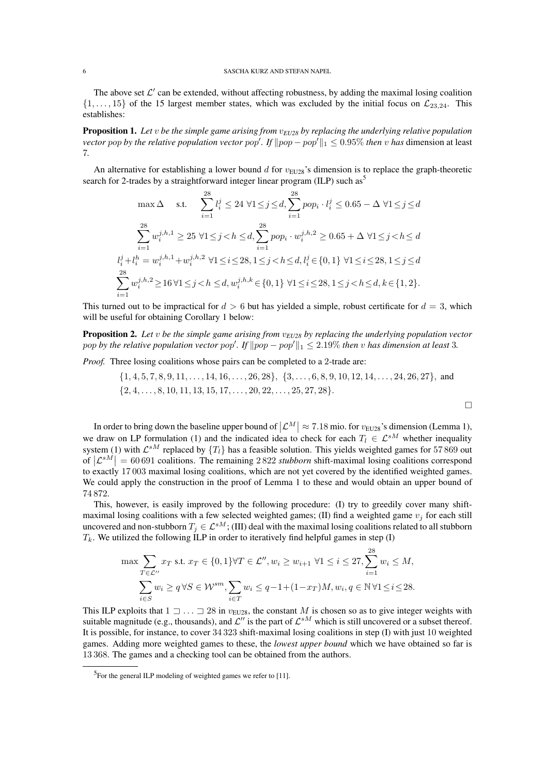#### 6 SASCHA KURZ AND STEFAN NAPEL

The above set  $\mathcal{L}'$  can be extended, without affecting robustness, by adding the maximal losing coalition  $\{1, \ldots, 15\}$  of the 15 largest member states, which was excluded by the initial focus on  $\mathcal{L}_{23,24}$ . This establishes:

Proposition 1. *Let* v *be the simple game arising from* v*EU28 by replacing the underlying relative population vector pop by the relative population vector pop'. If*  $\|pop - pop'\|_1 \leq 0.95\%$  *then* v *has* dimension at least 7*.*

An alternative for establishing a lower bound d for  $v_{EU28}$ 's dimension is to replace the graph-theoretic search for 2-trades by a straightforward integer linear program (ILP) such as<sup>5</sup>

$$
\max \Delta \quad \text{s.t.} \quad \sum_{i=1}^{28} l_i^j \le 24 \,\forall 1 \le j \le d, \sum_{i=1}^{28} pop_i \cdot l_i^j \le 0.65 - \Delta \,\forall 1 \le j \le d
$$
\n
$$
\sum_{i=1}^{28} w_i^{j,h,1} \ge 25 \,\forall 1 \le j < h \le d, \sum_{i=1}^{28} pop_i \cdot w_i^{j,h,2} \ge 0.65 + \Delta \,\forall 1 \le j < h \le d
$$
\n
$$
l_i^j + l_i^h = w_i^{j,h,1} + w_i^{j,h,2} \,\forall 1 \le i \le 28, 1 \le j < h \le d, l_i^j \in \{0, 1\} \,\forall 1 \le i \le 28, 1 \le j \le d
$$
\n
$$
\sum_{i=1}^{28} w_i^{j,h,2} \ge 16 \,\forall 1 \le j < h \le d, w_i^{j,h,k} \in \{0, 1\} \,\forall 1 \le i \le 28, 1 \le j < h \le d, k \in \{1, 2\}.
$$

This turned out to be impractical for  $d > 6$  but has yielded a simple, robust certificate for  $d = 3$ , which will be useful for obtaining Corollary 1 below:

Proposition 2. Let *v* be the simple game arising from  $v_{EU28}$  by replacing the underlying population vector pop by the relative population vector  $pop'$ . If  $\|pop - pop'\|_1 \leq 2.19\%$  then v has dimension at least 3.

*Proof.* Three losing coalitions whose pairs can be completed to a 2-trade are:

$$
\{1, 4, 5, 7, 8, 9, 11, \ldots, 14, 16, \ldots, 26, 28\}, \{3, \ldots, 6, 8, 9, 10, 12, 14, \ldots, 24, 26, 27\}, \text{ and } \{2, 4, \ldots, 8, 10, 11, 13, 15, 17, \ldots, 20, 22, \ldots, 25, 27, 28\}.
$$

In order to bring down the baseline upper bound of  $|\mathcal{L}^M| \approx 7.18$  mio. for  $v_{EU28}$ 's dimension (Lemma 1), we draw on LP formulation (1) and the indicated idea to check for each  $T_l \in \mathcal{L}^{sM}$  whether inequality system (1) with  $\mathcal{L}^{sM}$  replaced by  $\{T_l\}$  has a feasible solution. This yields weighted games for 57 869 out of  $|\mathcal{L}^{sM}| = 60\,691$  coalitions. The remaining 2822 *stubborn* shift-maximal losing coalitions correspond to exactly 17 003 maximal losing coalitions, which are not yet covered by the identified weighted games. We could apply the construction in the proof of Lemma 1 to these and would obtain an upper bound of 74 872.

This, however, is easily improved by the following procedure: (I) try to greedily cover many shiftmaximal losing coalitions with a few selected weighted games; (II) find a weighted game  $v_j$  for each still uncovered and non-stubborn  $T_j \in \mathcal{L}^{sM}$ ; (III) deal with the maximal losing coalitions related to all stubborn  $T_k$ . We utilized the following ILP in order to iteratively find helpful games in step (I)

$$
\max \sum_{T \in \mathcal{L}''} x_T \text{ s.t. } x_T \in \{0, 1\} \forall T \in \mathcal{L}'', w_i \ge w_{i+1} \ \forall 1 \le i \le 27, \sum_{i=1}^{28} w_i \le M, \sum_{i \in S} w_i \ge q \ \forall S \in \mathcal{W}^{sm}, \sum_{i \in T} w_i \le q - 1 + (1 - x_T)M, w_i, q \in \mathbb{N} \ \forall 1 \le i \le 28.
$$

This ILP exploits that  $1 \supset \ldots \supset 28$  in  $v_{\text{EU28}}$ , the constant M is chosen so as to give integer weights with suitable magnitude (e.g., thousands), and  $\mathcal{L}''$  is the part of  $\mathcal{L}^{sM}$  which is still uncovered or a subset thereof. It is possible, for instance, to cover 34 323 shift-maximal losing coalitions in step (I) with just 10 weighted games. Adding more weighted games to these, the *lowest upper bound* which we have obtained so far is 13 368. The games and a checking tool can be obtained from the authors.

<sup>5</sup>For the general ILP modeling of weighted games we refer to [11].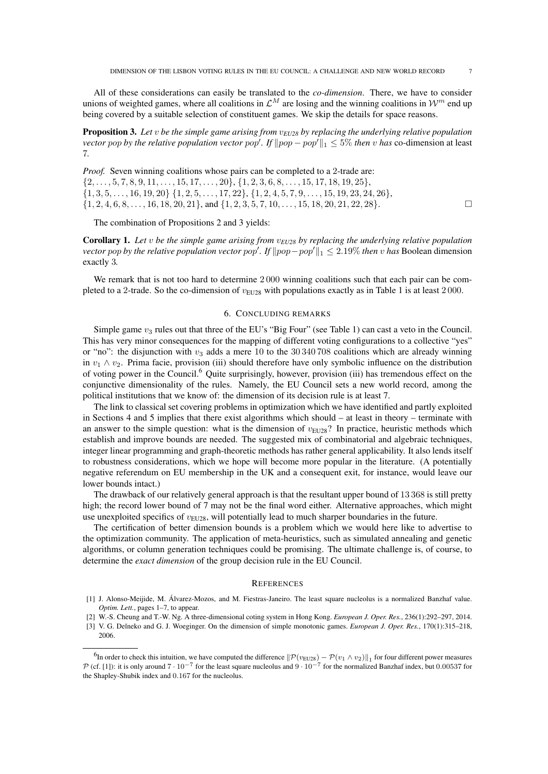All of these considerations can easily be translated to the *co-dimension*. There, we have to consider unions of weighted games, where all coalitions in  $\mathcal{L}^M$  are losing and the winning coalitions in  $\mathcal{W}^m$  end up being covered by a suitable selection of constituent games. We skip the details for space reasons.

Proposition 3. *Let* v *be the simple game arising from* v*EU28 by replacing the underlying relative population vector pop by the relative population vector pop'. If*  $\|pop - pop'\|_1 \leq 5\%$  *then* v *has* co-dimension at least 7*.*

*Proof.* Seven winning coalitions whose pairs can be completed to a 2-trade are:  $\{2,\ldots,5,7,8,9,11,\ldots,15,17,\ldots,20\},\{1,2,3,6,8,\ldots,15,17,18,19,25\},\$  $\{1, 3, 5, \ldots, 16, 19, 20\}$   $\{1, 2, 5, \ldots, 17, 22\}$ ,  $\{1, 2, 4, 5, 7, 9, \ldots, 15, 19, 23, 24, 26\}$ ,  $\{1, 2, 4, 6, 8, \ldots, 16, 18, 20, 21\}$ , and  $\{1, 2, 3, 5, 7, 10, \ldots, 15, 18, 20, 21, 22, 28\}$ .

The combination of Propositions 2 and 3 yields:

Corollary 1. *Let* v *be the simple game arising from* v*EU28 by replacing the underlying relative population vector* pop by the relative population vector pop'. If  $\|pop - pop'\|_1 \leq 2.19\%$  then v has Boolean dimension exactly 3*.*

We remark that is not too hard to determine 2000 winning coalitions such that each pair can be completed to a 2-trade. So the co-dimension of  $v_{EU28}$  with populations exactly as in Table 1 is at least 2000.

### 6. CONCLUDING REMARKS

Simple game  $v_3$  rules out that three of the EU's "Big Four" (see Table 1) can cast a veto in the Council. This has very minor consequences for the mapping of different voting configurations to a collective "yes" or "no": the disjunction with  $v_3$  adds a mere 10 to the 30 340 708 coalitions which are already winning in  $v_1 \wedge v_2$ . Prima facie, provision (iii) should therefore have only symbolic influence on the distribution of voting power in the Council.<sup>6</sup> Quite surprisingly, however, provision (iii) has tremendous effect on the conjunctive dimensionality of the rules. Namely, the EU Council sets a new world record, among the political institutions that we know of: the dimension of its decision rule is at least 7.

The link to classical set covering problems in optimization which we have identified and partly exploited in Sections 4 and 5 implies that there exist algorithms which should – at least in theory – terminate with an answer to the simple question: what is the dimension of  $v_{EU28}$ ? In practice, heuristic methods which establish and improve bounds are needed. The suggested mix of combinatorial and algebraic techniques, integer linear programming and graph-theoretic methods has rather general applicability. It also lends itself to robustness considerations, which we hope will become more popular in the literature. (A potentially negative referendum on EU membership in the UK and a consequent exit, for instance, would leave our lower bounds intact.)

The drawback of our relatively general approach is that the resultant upper bound of 13 368 is still pretty high; the record lower bound of 7 may not be the final word either. Alternative approaches, which might use unexploited specifics of  $v_{EU28}$ , will potentially lead to much sharper boundaries in the future.

The certification of better dimension bounds is a problem which we would here like to advertise to the optimization community. The application of meta-heuristics, such as simulated annealing and genetic algorithms, or column generation techniques could be promising. The ultimate challenge is, of course, to determine the *exact dimension* of the group decision rule in the EU Council.

#### **REFERENCES**

- [1] J. Alonso-Meijide, M. Alvarez-Mozos, and M. Fiestras-Janeiro. The least square nucleolus is a normalized Banzhaf value. ´ *Optim. Lett.*, pages 1–7, to appear.
- [2] W.-S. Cheung and T.-W. Ng. A three-dimensional coting system in Hong Kong. *European J. Oper. Res.*, 236(1):292–297, 2014.
- [3] V. G. Deĭneko and G. J. Woeginger. On the dimension of simple monotonic games. *European J. Oper. Res.*, 170(1):315–218, 2006.

<sup>&</sup>lt;sup>6</sup>In order to check this intuition, we have computed the difference  $\|\mathcal{P}(v_{\text{EU28}}) - \mathcal{P}(v_1 \wedge v_2)\|_1$  for four different power measures P (cf. [1]): it is only around  $7 \cdot 10^{-7}$  for the least square nucleolus and  $9 \cdot 10^{-7}$  for the normalized Banzhaf index, but 0.00537 for the Shapley-Shubik index and 0.167 for the nucleolus.